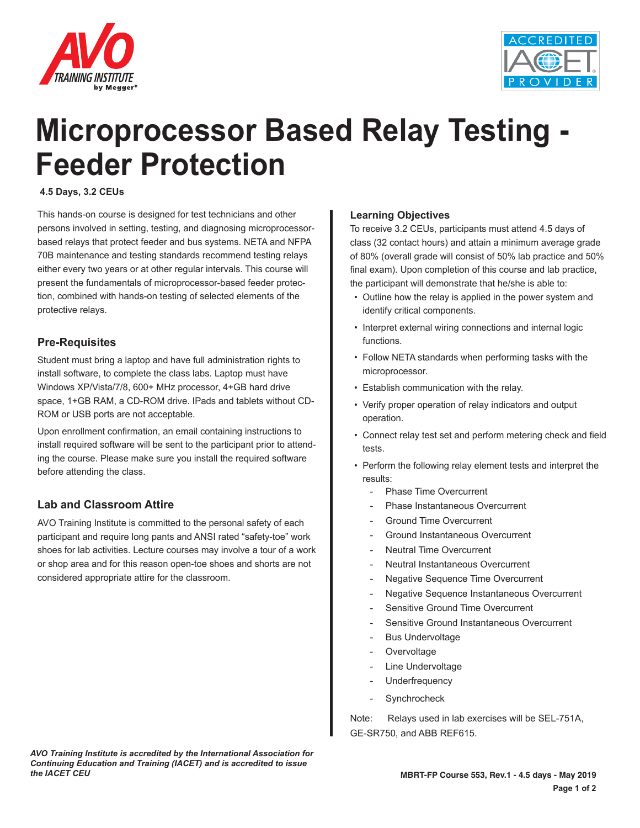



# **Microprocessor Based Relay Testing - Feeder Protection**

#### **4.5 Days, 3.2 CEUs**

This hands-on course is designed for test technicians and other persons involved in setting, testing, and diagnosing microprocessorbased relays that protect feeder and bus systems. NETA and NFPA 70B maintenance and testing standards recommend testing relays either every two years or at other regular intervals. This course will present the fundamentals of microprocessor-based feeder protection, combined with hands-on testing of selected elements of the protective relays.

#### **Pre-Requisites**

Student must bring a laptop and have full administration rights to install software, to complete the class labs. Laptop must have Windows XP/Vista/7/8, 600+ MHz processor, 4+GB hard drive space, 1+GB RAM, a CD-ROM drive. IPads and tablets without CD-ROM or USB ports are not acceptable.

Upon enrollment confirmation, an email containing instructions to install required software will be sent to the participant prior to attending the course. Please make sure you install the required software before attending the class.

#### **Lab and Classroom Attire**

AVO Training Institute is committed to the personal safety of each participant and require long pants and ANSI rated "safety-toe" work shoes for lab activities. Lecture courses may involve a tour of a work or shop area and for this reason open-toe shoes and shorts are not considered appropriate attire for the classroom.

#### **Learning Objectives**

To receive 3.2 CEUs, participants must attend 4.5 days of class (32 contact hours) and attain a minimum average grade of 80% (overall grade will consist of 50% lab practice and 50% final exam). Upon completion of this course and lab practice, the participant will demonstrate that he/she is able to:

- Outline how the relay is applied in the power system and identify critical components.
- Interpret external wiring connections and internal logic functions.
- Follow NETA standards when performing tasks with the microprocessor.
- Establish communication with the relay.
- Verify proper operation of relay indicators and output operation.
- Connect relay test set and perform metering check and field tests.
- Perform the following relay element tests and interpret the results:
	- Phase Time Overcurrent
	- Phase Instantaneous Overcurrent
	- Ground Time Overcurrent
	- Ground Instantaneous Overcurrent
	- Neutral Time Overcurrent
	- Neutral Instantaneous Overcurrent
	- Negative Sequence Time Overcurrent
	- Negative Sequence Instantaneous Overcurrent
	- Sensitive Ground Time Overcurrent
	- Sensitive Ground Instantaneous Overcurrent
	- Bus Undervoltage
	- **Overvoltage**
	- Line Undervoltage
	- **Underfrequency**
	- **Synchrocheck**

Note: Relays used in lab exercises will be SEL-751A, GE-SR750, and ABB REF615.

*AVO Training Institute is accredited by the International Association for Continuing Education and Training (IACET) and is accredited to issue the IACET CEU*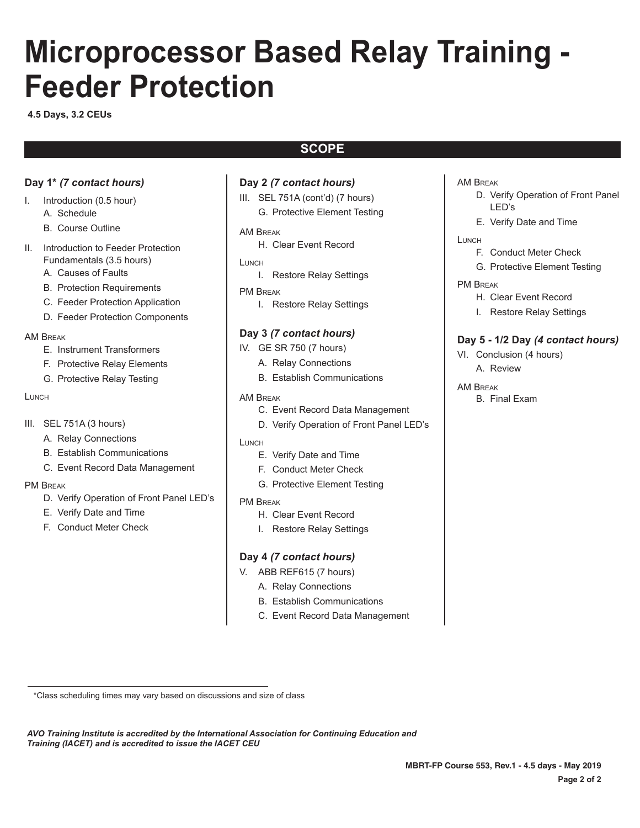# **Microprocessor Based Relay Training - Feeder Protection**

**4.5 Days, 3.2 CEUs**

## **SCOPE**

#### **Day 1\*** *(7 contact hours)*

- I. Introduction (0.5 hour) A. Schedule
	- B. Course Outline
- II. Introduction to Feeder Protection Fundamentals (3.5 hours)
	- A. Causes of Faults
	- B. Protection Requirements
	- C. Feeder Protection Application
	- D. Feeder Protection Components

#### AM Break

- E. Instrument Transformers
- F. Protective Relay Elements
- G. Protective Relay Testing

#### **LUNCH**

- III. SEL 751A (3 hours)
	- A. Relay Connections
	- B. Establish Communications
	- C. Event Record Data Management

#### PM Break

- D. Verify Operation of Front Panel LED's
- E. Verify Date and Time
- F. Conduct Meter Check

## **Day 2** *(7 contact hours)*

- III. SEL 751A (cont'd) (7 hours)
	- G. Protective Element Testing
- AM Break
	- H. Clear Event Record
- Lunch
	- I. Restore Relay Settings
- PM Break
	- I. Restore Relay Settings

#### **Day 3** *(7 contact hours)*

- IV. GE SR 750 (7 hours)
	- A. Relay Connections
	- B. Establish Communications
- AM Break
	- C. Event Record Data Management
	- D. Verify Operation of Front Panel LED's

#### **LUNCH**

- E. Verify Date and Time
- F. Conduct Meter Check
- G. Protective Element Testing
- PM Break
	- H. Clear Event Record
	- I. Restore Relay Settings

#### **Day 4** *(7 contact hours)*

- V. ABB REF615 (7 hours)
	- A. Relay Connections
	- B. Establish Communications
	- C. Event Record Data Management
- AM Break
	- D. Verify Operation of Front Panel LED's
	- E. Verify Date and Time

#### **LUNCH**

- F. Conduct Meter Check
- G. Protective Element Testing
- PM Break
	- H. Clear Event Record
	- I. Restore Relay Settings

#### **Day 5 - 1/2 Day** *(4 contact hours)*

- VI. Conclusion (4 hours) A. Review
- AM Break
	- B. Final Exam

\*Class scheduling times may vary based on discussions and size of class

*AVO Training Institute is accredited by the International Association for Continuing Education and Training (IACET) and is accredited to issue the IACET CEU*